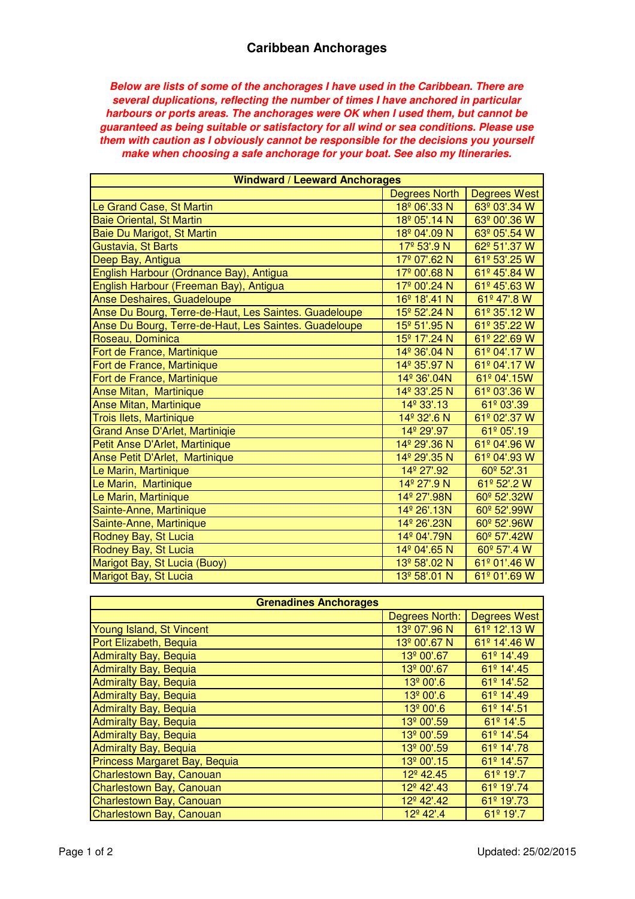**Below are lists of some of the anchorages I have used in the Caribbean. There are several duplications, reflecting the number of times I have anchored in particular harbours or ports areas. The anchorages were OK when I used them, but cannot be guaranteed as being suitable or satisfactory for all wind or sea conditions. Please use them with caution as I obviously cannot be responsible for the decisions you yourself make when choosing a safe anchorage for your boat. See also my Itineraries.**

| <b>Windward / Leeward Anchorages</b>                  |                          |                                  |
|-------------------------------------------------------|--------------------------|----------------------------------|
|                                                       | <b>Degrees North</b>     | <b>Degrees West</b>              |
| Le Grand Case, St Martin                              | 18 <sup>°</sup> 06'.33 N | 63º 03'.34 W                     |
| <b>Baie Oriental, St Martin</b>                       | 18 <sup>°</sup> 05'.14 N | 63º 00'.36 W                     |
| Baie Du Marigot, St Martin                            | 18 <sup>º</sup> 04'.09 N | 63º 05'.54 W                     |
| Gustavia, St Barts                                    | 17 <sup>°</sup> 53'.9 N  | 62º 51'.37 W                     |
| Deep Bay, Antigua                                     | 17 <sup>°</sup> 07'.62 N | $61^{\circ}$ 53'.25 W            |
| English Harbour (Ordnance Bay), Antigua               | 17 <sup>°</sup> 00'.68 N | 61º 45'.84 W                     |
| English Harbour (Freeman Bay), Antigua                | 17 <sup>º</sup> 00'.24 N | 61º 45'.63 W                     |
| Anse Deshaires, Guadeloupe                            | 16 <sup>°</sup> 18'.41 N | 61º 47'.8 W                      |
| Anse Du Bourg, Terre-de-Haut, Les Saintes. Guadeloupe | 15 <sup>°</sup> 52'.24 N | 61º 35'.12 W                     |
| Anse Du Bourg, Terre-de-Haut, Les Saintes. Guadeloupe | 15 <sup>°</sup> 51'.95 N | $61^{\circ} 35'$ .22 W           |
| Roseau, Dominica                                      | 15 <sup>°</sup> 17'.24 N | $\overline{61^{\circ}}$ 22'.69 W |
| Fort de France, Martinique                            | 14 <sup>°</sup> 36'.04 N | 61º 04'.17 W                     |
| Fort de France, Martinique                            | 14 <sup>°</sup> 35'.97 N | 61º 04'.17 W                     |
| Fort de France, Martinique                            | 14 <sup>°</sup> 36'.04N  | 61º 04'.15W                      |
| <b>Anse Mitan, Martinique</b>                         | 14 <sup>°</sup> 33'.25 N | 61º 03'.36 W                     |
| <b>Anse Mitan, Martinique</b>                         | 14 <sup>°</sup> 33'.13   | 61º 03'.39                       |
| <b>Trois Ilets, Martinique</b>                        | 14 <sup>°</sup> 32'.6 N  | 61º 02'.37 W                     |
| <b>Grand Anse D'Arlet, Martiniqie</b>                 | 14 <sup>°</sup> 29'.97   | 61º 05'.19                       |
| Petit Anse D'Arlet, Martinique                        | 14 <sup>°</sup> 29'.36 N | 61º 04'.96 W                     |
| Anse Petit D'Arlet, Martinique                        | 14 <sup>°</sup> 29'.35 N | 61º 04'.93 W                     |
| Le Marin, Martinique                                  | 14 <sup>°</sup> 27'.92   | 60 <sup>°</sup> 52'.31           |
| Le Marin, Martinique                                  | 14 <sup>°</sup> 27'.9 N  | 61º 52'.2 W                      |
| Le Marin, Martinique                                  | 14 <sup>°</sup> 27'.98N  | 60 <sup>°</sup> 52'.32W          |
| Sainte-Anne, Martinique                               | 14 <sup>°</sup> 26'.13N  | 60 <sup>°</sup> 52'.99W          |
| Sainte-Anne, Martinique                               | 14 <sup>°</sup> 26'.23N  | 60 <sup>°</sup> 52'.96W          |
| Rodney Bay, St Lucia                                  | 14 <sup>°</sup> 04'.79N  | 60 <sup>°</sup> 57'.42W          |
| Rodney Bay, St Lucia                                  | 14 <sup>°</sup> 04'.65 N | 60 <sup>°</sup> 57'.4 W          |
| Marigot Bay, St Lucia (Buoy)                          | 13 <sup>°</sup> 58'.02 N | 61º 01'.46 W                     |
| Marigot Bay, St Lucia                                 | 13 <sup>º</sup> 58'.01 N | 61º 01'.69 W                     |

| <b>Grenadines Anchorages</b>  |                          |                       |
|-------------------------------|--------------------------|-----------------------|
|                               | Degrees North:           | <b>Degrees West</b>   |
| Young Island, St Vincent      | 13 <sup>º</sup> 07'.96 N | 61º 12'.13 W          |
| Port Elizabeth, Bequia        | 13 <sup>º</sup> 00'.67 N | 61º 14'.46 W          |
| <b>Admiralty Bay, Bequia</b>  | 13 <sup>º</sup> 00'.67   | 61º 14'.49            |
| <b>Admiralty Bay, Bequia</b>  | 13 <sup>°</sup> 00'.67   | 61º 14'.45            |
| <b>Admiralty Bay, Bequia</b>  | 13 <sup>º</sup> 00'.6    | 61º 14'.52            |
| <b>Admiralty Bay, Bequia</b>  | 13 <sup>º</sup> 00'.6    | 61º 14'.49            |
| <b>Admiralty Bay, Bequia</b>  | 13º 00'.6                | 61º 14'.51            |
| <b>Admiralty Bay, Bequia</b>  | 13 <sup>°</sup> 00'.59   | $61^{\circ}$ 14'.5    |
| <b>Admiralty Bay, Bequia</b>  | 13 <sup>°</sup> 00'.59   | 61º 14'.54            |
| <b>Admiralty Bay, Bequia</b>  | 13 <sup>°</sup> 00'.59   | 61º 14'.78            |
| Princess Margaret Bay, Bequia | 13 <sup>º</sup> 00'.15   | 61º 14'.57            |
| Charlestown Bay, Canouan      | 12 <sup>°</sup> 42.45    | 61 <sup>º</sup> 19'.7 |
| Charlestown Bay, Canouan      | 12 <sup>°</sup> 42'.43   | 61º 19'.74            |
| Charlestown Bay, Canouan      | 12 <sup>°</sup> 42'.42   | 61º 19'.73            |
| Charlestown Bay, Canouan      | 12 <sup>°</sup> 42'.4    | 61 <sup>º</sup> 19'.7 |